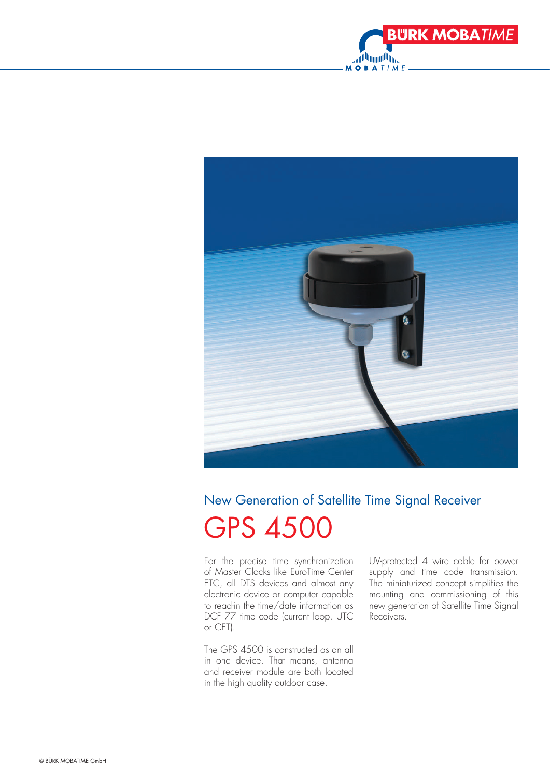



## New Generation of Satellite Time Signal Receiver GPS 4500

For the precise time synchronization of Master Clocks like EuroTime Center ETC, all DTS devices and almost any electronic device or computer capable to read-in the time/date information as DCF 77 time code (current loop, UTC or CET).

The GPS 4500 is constructed as an all in one device. That means, antenna and receiver module are both located in the high quality outdoor case.

UV-protected 4 wire cable for power supply and time code transmission. The miniaturized concept simplifies the mounting and commissioning of this new generation of Satellite Time Signal Receivers.